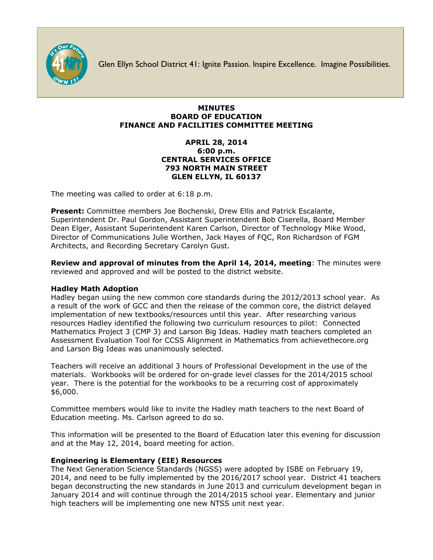

Glen Ellyn School District 41: Ignite Passion. Inspire Excellence. Imagine Possibilities.

# **MINUTES BOARD OF EDUCATION FINANCE AND FACILITIES COMMITTEE MEETING**

# **APRIL 28, 2014 6:00 p.m. CENTRAL SERVICES OFFICE 793 NORTH MAIN STREET GLEN ELLYN, IL 60137**

The meeting was called to order at 6:18 p.m.

**Present:** Committee members Joe Bochenski, Drew Ellis and Patrick Escalante, Superintendent Dr. Paul Gordon, Assistant Superintendent Bob Ciserella, Board Member Dean Elger, Assistant Superintendent Karen Carlson, Director of Technology Mike Wood, Director of Communications Julie Worthen, Jack Hayes of FQC, Ron Richardson of FGM Architects, and Recording Secretary Carolyn Gust.

**Review and approval of minutes from the April 14, 2014, meeting**: The minutes were reviewed and approved and will be posted to the district website.

# **Hadley Math Adoption**

Hadley began using the new common core standards during the 2012/2013 school year. As a result of the work of GCC and then the release of the common core, the district delayed implementation of new textbooks/resources until this year. After researching various resources Hadley identified the following two curriculum resources to pilot: Connected Mathematics Project 3 (CMP 3) and Larson Big Ideas. Hadley math teachers completed an Assessment Evaluation Tool for CCSS Alignment in Mathematics from achievethecore.org and Larson Big Ideas was unanimously selected.

Teachers will receive an additional 3 hours of Professional Development in the use of the materials. Workbooks will be ordered for on-grade level classes for the 2014/2015 school year. There is the potential for the workbooks to be a recurring cost of approximately \$6,000.

Committee members would like to invite the Hadley math teachers to the next Board of Education meeting. Ms. Carlson agreed to do so.

This information will be presented to the Board of Education later this evening for discussion and at the May 12, 2014, board meeting for action.

## **Engineering is Elementary (EIE) Resources**

The Next Generation Science Standards (NGSS) were adopted by ISBE on February 19, 2014, and need to be fully implemented by the 2016/2017 school year. District 41 teachers began deconstructing the new standards in June 2013 and curriculum development began in January 2014 and will continue through the 2014/2015 school year. Elementary and junior high teachers will be implementing one new NTSS unit next year.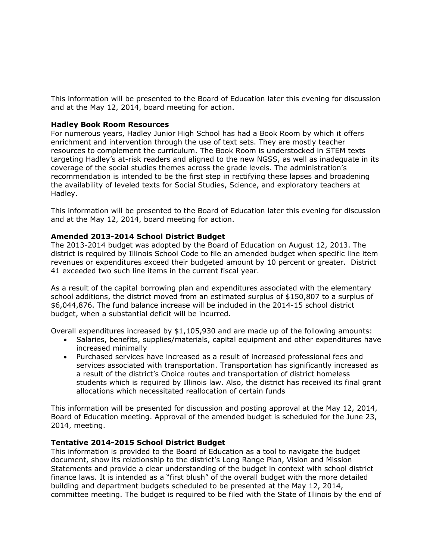This information will be presented to the Board of Education later this evening for discussion and at the May 12, 2014, board meeting for action.

## **Hadley Book Room Resources**

For numerous years, Hadley Junior High School has had a Book Room by which it offers enrichment and intervention through the use of text sets. They are mostly teacher resources to complement the curriculum. The Book Room is understocked in STEM texts targeting Hadley's at-risk readers and aligned to the new NGSS, as well as inadequate in its coverage of the social studies themes across the grade levels. The administration's recommendation is intended to be the first step in rectifying these lapses and broadening the availability of leveled texts for Social Studies, Science, and exploratory teachers at Hadley.

This information will be presented to the Board of Education later this evening for discussion and at the May 12, 2014, board meeting for action.

#### **Amended 2013-2014 School District Budget**

The 2013-2014 budget was adopted by the Board of Education on August 12, 2013. The district is required by Illinois School Code to file an amended budget when specific line item revenues or expenditures exceed their budgeted amount by 10 percent or greater. District 41 exceeded two such line items in the current fiscal year.

As a result of the capital borrowing plan and expenditures associated with the elementary school additions, the district moved from an estimated surplus of \$150,807 to a surplus of \$6,044,876. The fund balance increase will be included in the 2014-15 school district budget, when a substantial deficit will be incurred.

Overall expenditures increased by \$1,105,930 and are made up of the following amounts:

- Salaries, benefits, supplies/materials, capital equipment and other expenditures have increased minimally
- Purchased services have increased as a result of increased professional fees and services associated with transportation. Transportation has significantly increased as a result of the district's Choice routes and transportation of district homeless students which is required by Illinois law. Also, the district has received its final grant allocations which necessitated reallocation of certain funds

This information will be presented for discussion and posting approval at the May 12, 2014, Board of Education meeting. Approval of the amended budget is scheduled for the June 23, 2014, meeting.

#### **Tentative 2014-2015 School District Budget**

This information is provided to the Board of Education as a tool to navigate the budget document, show its relationship to the district's Long Range Plan, Vision and Mission Statements and provide a clear understanding of the budget in context with school district finance laws. It is intended as a "first blush" of the overall budget with the more detailed building and department budgets scheduled to be presented at the May 12, 2014, committee meeting. The budget is required to be filed with the State of Illinois by the end of